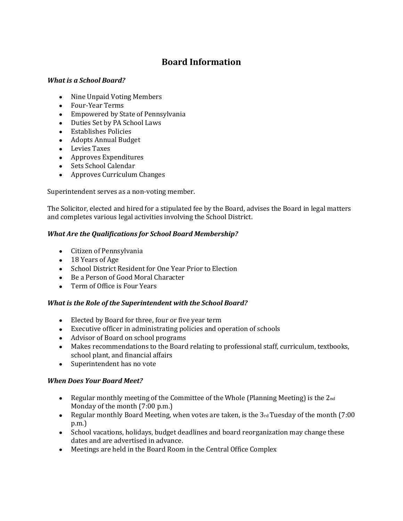# **Board Information**

#### *What is a School Board?*

- Nine Unpaid Voting Members
- Four-Year Terms
- Empowered by State of Pennsylvania
- Duties Set by PA School Laws
- Establishes Policies
- Adopts Annual Budget
- Levies Taxes
- Approves Expenditures
- Sets School Calendar
- Approves Curriculum Changes

Superintendent serves as a non-voting member.

The Solicitor, elected and hired for a stipulated fee by the Board, advises the Board in legal matters and completes various legal activities involving the School District.

## *What Are the Qualifications for School Board Membership?*

- Citizen of Pennsylvania
- 18 Years of Age
- School District Resident for One Year Prior to Election
- Be a Person of Good Moral Character
- Term of Office is Four Years

## *What is the Role of the Superintendent with the School Board?*

- Elected by Board for three, four or five year term
- Executive officer in administrating policies and operation of schools
- Advisor of Board on school programs
- Makes recommendations to the Board relating to professional staff, curriculum, textbooks, school plant, and financial affairs
- Superintendent has no vote

## *When Does Your Board Meet?*

- Regular monthly meeting of the Committee of the Whole (Planning Meeting) is the 2nd Monday of the month (7:00 p.m.)
- Election Meeting, when votes are taken, is the  $3rd$  Tuesday of the month (7:00) p.m.)
- School vacations, holidays, budget deadlines and board reorganization may change these dates and are advertised in advance.
- Meetings are held in the Board Room in the Central Office Complex